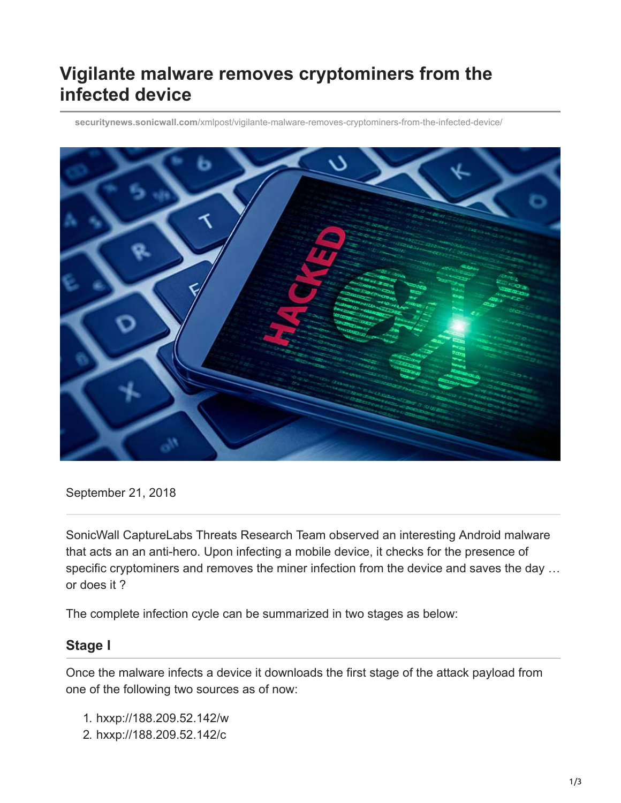## **Vigilante malware removes cryptominers from the infected device**

**securitynews.sonicwall.com**[/xmlpost/vigilante-malware-removes-cryptominers-from-the-infected-device/](https://securitynews.sonicwall.com/xmlpost/vigilante-malware-removes-cryptominers-from-the-infected-device/)



September 21, 2018

SonicWall CaptureLabs Threats Research Team observed an interesting Android malware that acts an an anti-hero. Upon infecting a mobile device, it checks for the presence of specific cryptominers and removes the miner infection from the device and saves the day … or does it ?

The complete infection cycle can be summarized in two stages as below:

## **Stage I**

Once the malware infects a device it downloads the first stage of the attack payload from one of the following two sources as of now:

- 1. hxxp://188.209.52.142/w
- 2. hxxp://188.209.52.142/c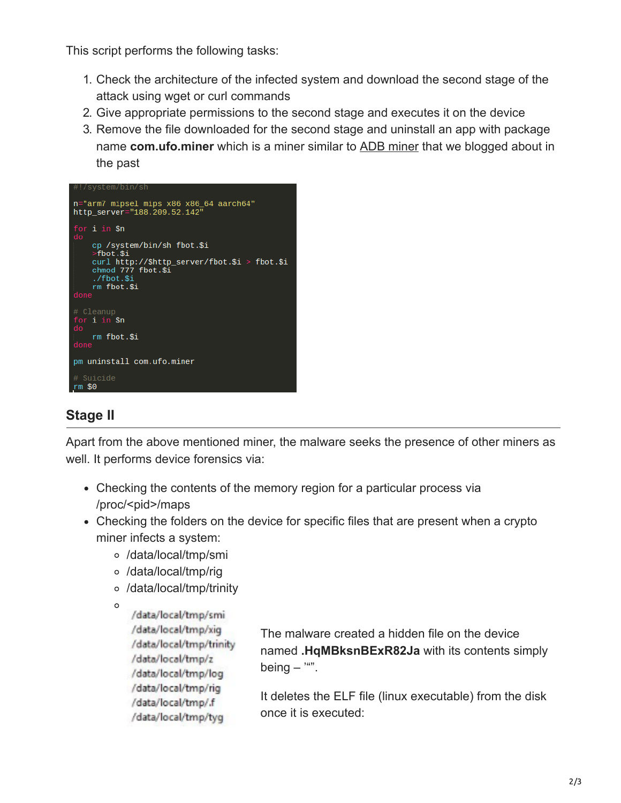This script performs the following tasks:

- 1. Check the architecture of the infected system and download the second stage of the attack using wget or curl commands
- 2. Give appropriate permissions to the second stage and executes it on the device
- 3. Remove the file downloaded for the second stage and uninstall an app with package name **com.ufo.miner** which is a miner similar to [ADB miner](https://www.mysonicwall.com/sonicalert/searchresults.aspx?ev=article&id=1123) that we blogged about in the past



## **Stage II**

Apart from the above mentioned miner, the malware seeks the presence of other miners as well. It performs device forensics via:

- Checking the contents of the memory region for a particular process via /proc/<pid>/maps
- Checking the folders on the device for specific files that are present when a crypto miner infects a system:
	- /data/local/tmp/smi
	- /data/local/tmp/rig
	- /data/local/tmp/trinity
	- $\circ$

/data/local/tmp/smi /data/local/tmp/xig /data/local/tmp/trinity /data/local/tmp/z /data/local/tmp/log /data/local/tmp/rig /data/local/tmp/.f /data/local/tmp/tyg

The malware created a hidden file on the device named **.HqMBksnBExR82Ja** with its contents simply being  $\cdot\cdot\cdot\cdot$ .

It deletes the ELF file (linux executable) from the disk once it is executed: